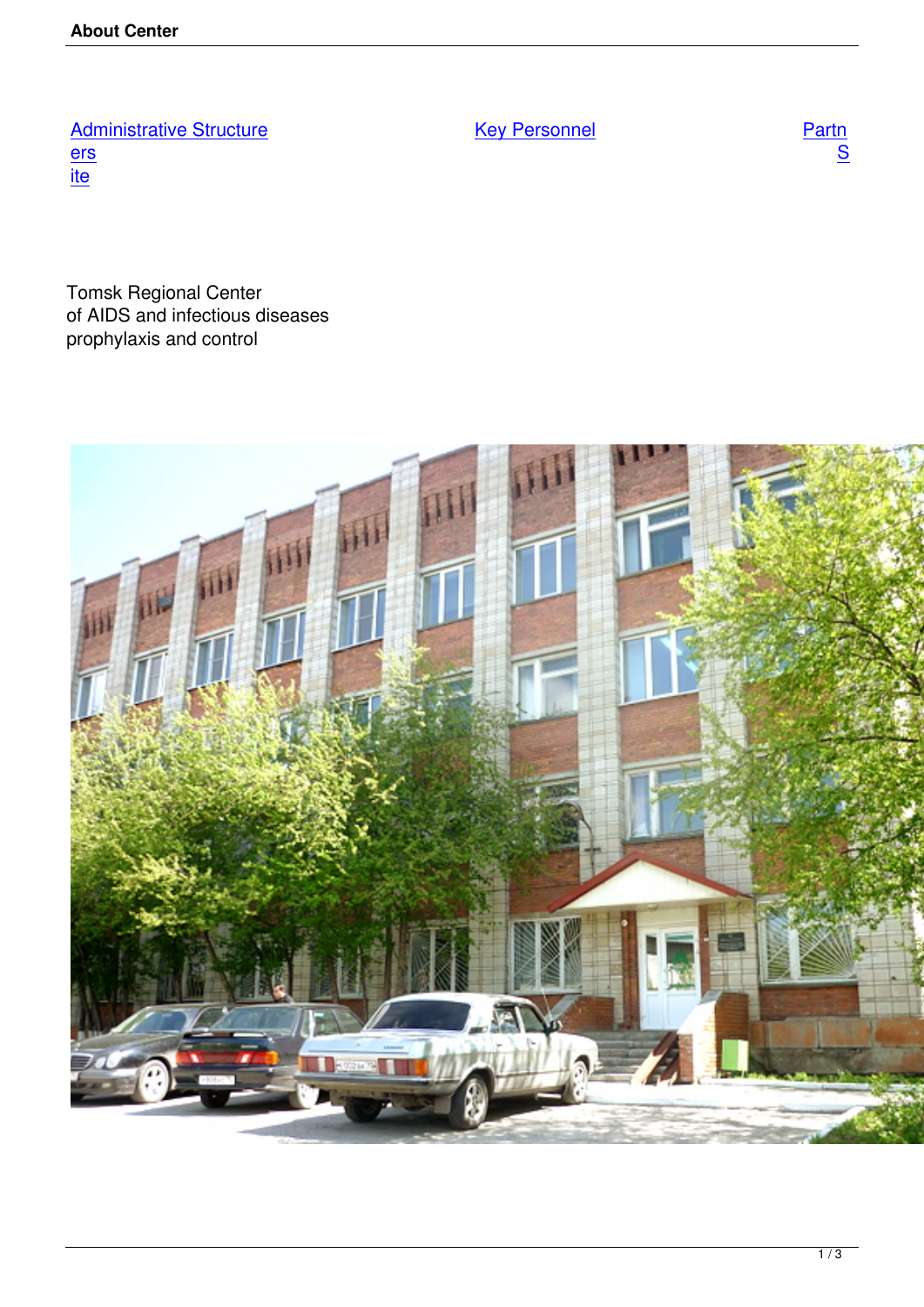**Key Personnel** 

**Administrative Structure**  $rac{ers}{ite}$ 

**Tomsk Regional Center** of AIDS and infectious diseases prophylaxis and control

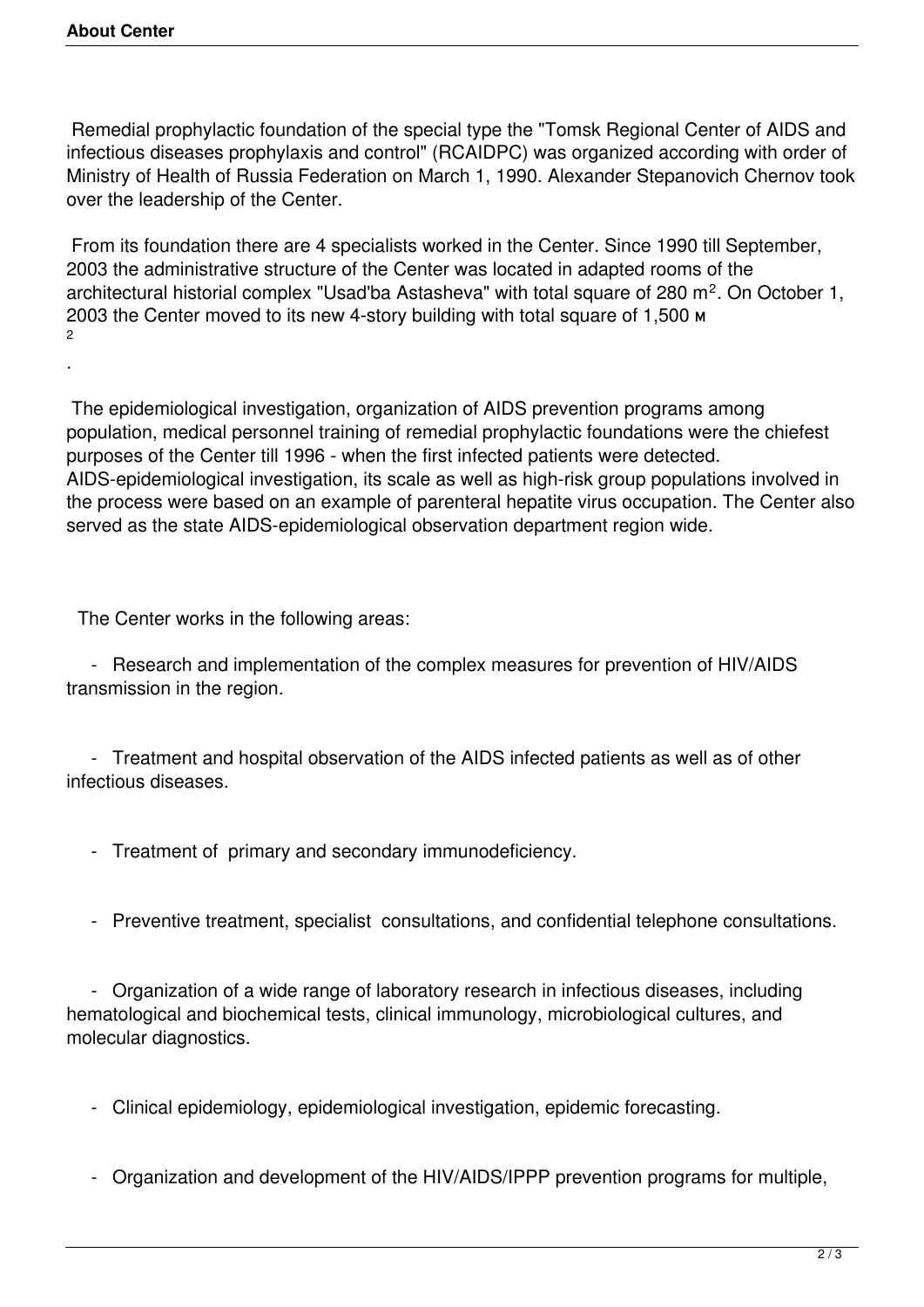.

 Remedial prophylactic foundation of the special type the "Tomsk Regional Center of AIDS and infectious diseases prophylaxis and control" (RCAIDPC) was organized according with order of Ministry of Health of Russia Federation on March 1, 1990. Alexander Stepanovich Chernov took over the leadership of the Center.

 From its foundation there are 4 specialists worked in the Center. Since 1990 till September, 2003 the administrative structure of the Center was located in adapted rooms of the architectural historial complex "Usad'ba Astasheva" with total square of 280 m<sup>2</sup>. On October 1, 2003 the Center moved to its new 4-story building with total square of 1,500 м  $\mathfrak{p}$ 

 The epidemiological investigation, organization of AIDS prevention programs among population, medical personnel training of remedial prophylactic foundations were the chiefest purposes of the Center till 1996 - when the first infected patients were detected. AIDS-epidemiological investigation, its scale as well as high-risk group populations involved in the process were based on an example of parenteral hepatite virus occupation. The Center also served as the state AIDS-epidemiological observation department region wide.

The Center works in the following areas:

 - Research and implementation of the complex measures for prevention of HIV/AIDS transmission in the region.

 - Treatment and hospital observation of the AIDS infected patients as well as of other infectious diseases.

- Treatment of primary and secondary immunodeficiency.
- Preventive treatment, specialist consultations, and confidential telephone consultations.

 - Organization of a wide range of laboratory research in infectious diseases, including hematological and biochemical tests, clinical immunology, microbiological cultures, and molecular diagnostics.

- Clinical epidemiology, epidemiological investigation, epidemic forecasting.
- Organization and development of the HIV/AIDS/IPPP prevention programs for multiple,